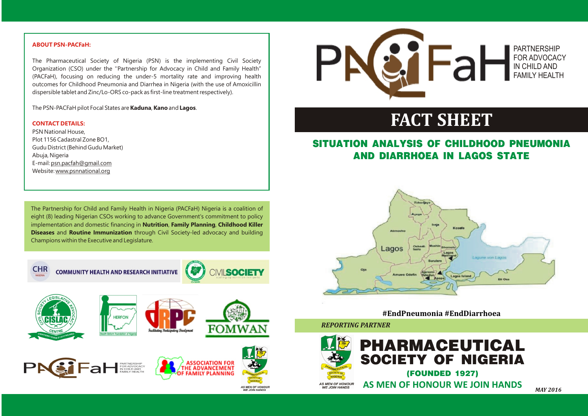

## **SITUATION ANALYSIS OF CHILDHOOD PNEUMONIA AND DIARRHOEA IN LAGOS STATE**



*REPORTING PARTNER* 

# **FACT SHEET**

The Partnership for Child and Family Health in Nigeria (PACFaH) Nigeria is a coalition of eight (8) leading Nigerian CSOs working to advance Government's commitment to policy implementation and domestic financing in **Nutrition**, **Family Planning**, **Childhood Killer Diseases** and **Routine Immunization** through Civil Society-led advocacy and building Champions within the Executive and Legislature.



**COMMUNITY HEALTH AND RESEARCH INITIATIVE** 















**AS MEN OF HONOU<br>WE JOIN HANDS** 



*MAY 2016*

### PARTNERSHIP FOR ADVOCACY IN CHILD AND FAMILY HEALTH

### **ABOUT PSN-PACFaH:**

#### **CONTACT DETAILS:**

The Pharmaceutical Society of Nigeria (PSN) is the implementing Civil Society Organization (CSO) under the ''Partnership for Advocacy in Child and Family Health" (PACFaH), focusing on reducing the under-5 mortality rate and improving health outcomes for Childhood Pneumonia and Diarrhea in Nigeria (with the use of Amoxicillin dispersible tablet and Zinc/Lo-ORS co-pack as first-line treatment respectively).

The PSN-PACFaH pilot Focal States are **Kaduna**, **Kano** and **Lagos**.

PSN National House, Plot 1156 Cadastral Zone BO1, Gudu District (Behind Gudu Market) Abuja, Nigeria E-mail: psn.pacfah@gmail.com Website: www.psnnational.org

**#EndPneumonia #EndDiarrhoea**